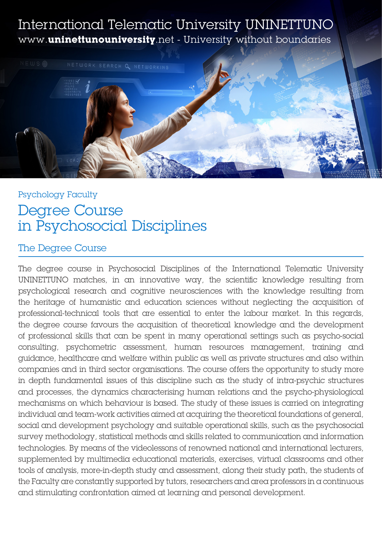## International Telematic University UNINETTUNO www.**uninettunouniversity**.net - University without boundaries



# Psychology Faculty Degree Course in Psychosocial Disciplines

### The Degree Course

The degree course in Psychosocial Disciplines of the International Telematic University UNINETTUNO matches, in an innovative way, the scientific knowledge resulting from psychological research and cognitive neurosciences with the knowledge resulting from the heritage of humanistic and education sciences without neglecting the acquisition of professional-technical tools that are essential to enter the labour market. In this regards, the degree course favours the acquisition of theoretical knowledge and the development of professional skills that can be spent in many operational settings such as psycho-social consulting, psychometric assessment, human resources management, training and guidance, healthcare and welfare within public as well as private structures and also within companies and in third sector organisations. The course offers the opportunity to study more in depth fundamental issues of this discipline such as the study of intra-psychic structures and processes, the dynamics characterising human relations and the psycho-physiological mechanisms on which behaviour is based. The study of these issues is carried on integrating individual and team-work activities aimed at acquiring the theoretical foundations of general, social and development psychology and suitable operational skills, such as the psychosocial survey methodology, statistical methods and skills related to communication and information technologies. By means of the videolessons of renowned national and international lecturers, supplemented by multimedia educational materials, exercises, virtual classrooms and other tools of analysis, more-in-depth study and assessment, along their study path, the students of the Faculty are constantly supported by tutors, researchers and area professors in a continuous and stimulating confrontation aimed at learning and personal development.